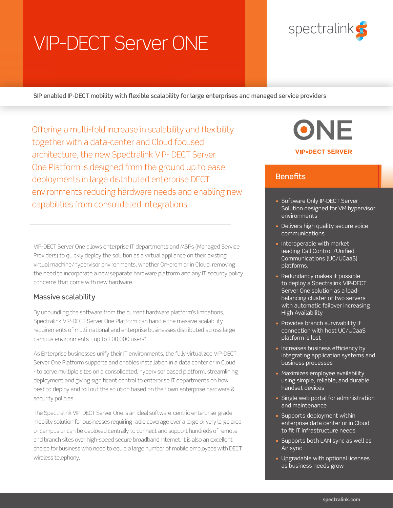# VIP-DECT Server ONE



SIP enabled IP-DECT mobility with flexible scalability for large enterprises and managed service providers

Offering a multi-fold increase in scalability and flexibility together with a data-center and Cloud focused architecture, the new Spectralink VIP- DECT Server One Platform is designed from the ground up to ease deployments in large distributed enterprise DECT environments reducing hardware needs and enabling new capabilities from consolidated integrations.

VIP-DECT Server One allows enterprise IT departments and MSPs (Managed Service Providers) to quickly deploy the solution as a virtual appliance on their existing virtual machine/hypervisor environments, whether On-prem or in Cloud, removing the need to incorporate a new separate hardware platform and any IT security policy concerns that come with new hardware.

## Massive scalability

By unbundling the software from the current hardware platform's limitations, Spectralink VIP-DECT Server One Platform can handle the massive scalability requirements of multi-national and enterprise businesses distributed across large campus environments – up to 100,000 users\*.

As Enterprise businesses unify their IT environments, the fully virtualized VIP-DECT Server One Platform supports and enables installation in a data center or in Cloud - to serve multiple sites on a consolidated, hypervisor based platform, streamlining deployment and giving significant control to enterprise IT departments on how best to deploy and roll out the solution based on their own enterprise hardware & security policies

The Spectralink VIP-DECT Server One is an ideal software-centric enterprise-grade mobility solution for businesses requiring radio coverage over a large or very large area or campus or can be deployed centrally to connect and support hundreds of remote and branch sites over high-speed secure broadband Internet. It is also an excellent choice for business who need to equip a large number of mobile employees with DECT wireless telephony.



# **Benefits**

- Software Only IP-DECT Server Solution designed for VM hypervisor environments
- Delivers high quality secure voice communications
- Interoperable with market leading Call Control /Unified Communications (UC/UCaaS) platforms.
- Redundancy makes it possible to deploy a Spectralink VIP-DECT Server One solution as a loadbalancing cluster of two servers with automatic failover increasing High Availability
- Provides branch survivability if connection with host UC/UCaaS platform is lost
- Increases business efficiency by integrating application systems and business processes
- Maximizes employee availability using simple, reliable, and durable handset devices
- Single web portal for administration and maintenance
- Supports deployment within enterprise data center or in Cloud to fit IT infrastructure needs
- Supports both LAN sync as well as Air sync
- Upgradable with optional licenses as business needs grow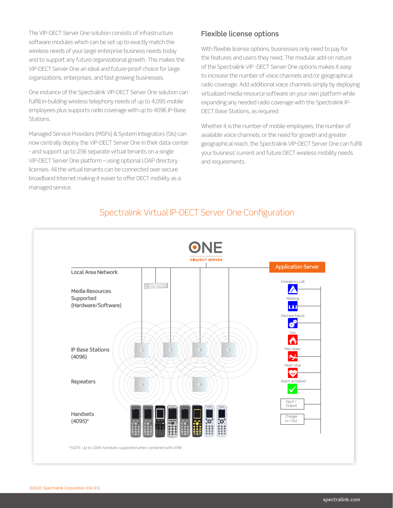The VIP-DECT Server One solution consists of infrastructure software modules which can be set up to exactly match the wireless needs of your large enterprise business needs today and to support any future organizational growth. This makes the VIP-DECT Server One an ideal and future-proof choice for large organizations, enterprises, and fast growing businesses.

One instance of the Spectralink VIP-DECT Server One solution can fulfill in-building wireless telephony needs of up to 4,095 mobile employees plus supports radio coverage with up to 4096 IP-Base Stations.

Managed Service Providers (MSPs) & System Integrators (SIs) can now centrally deploy the VIP-DECT Server One in their data-center - and support up to 256 separate virtual tenants on a single VIP-DECT Server One platform – using optional LDAP directory licenses. All the virtual tenants can be connected over secure broadband Internet making it easier to offer DECT mobility as a managed service.

# Flexible license options

With flexible license options, businesses only need to pay for the features and users they need. The modular add-on nature of the Spectralink VIP -DECT Server One options makes it easy to increase the number of voice channels and/or geographical radio coverage. Add additional voice channels simply by deploying virtualized media resource software on your own platform while expanding any needed radio coverage with the Spectralink IP-DECT Base Stations, as required.

Whether it is the number of mobile employees, the number of available voice channels, or the need for growth and greater geographical reach, the Spectralink VIP-DECT Server One can fulfill your business' current and future DECT wireless mobility needs and requirements.



# Spectralink Virtual IP-DECT Server One Configuration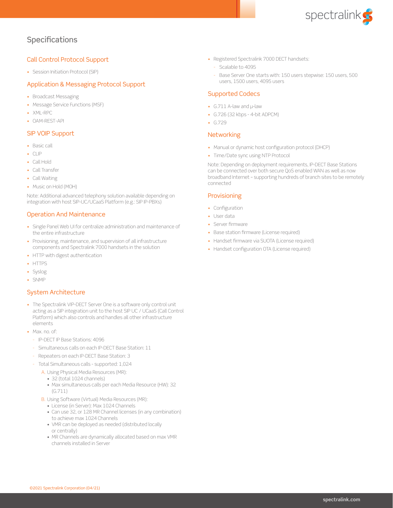

# Specifications

#### Call Control Protocol Support

• Session Initiation Protocol (SIP)

#### Application & Messaging Protocol Support

- Broadcast Messaging
- Message Service Functions (MSF)
- XML-RPC
- OAM-REST-API

#### SIP VOIP Support

- Basic call
- CLIP
- Call Hold
- Call Transfer
- Call Waiting
- Music on Hold (MOH)

Note: Additional advanced telephony solution available depending on integration with host SIP-UC/UCaaS Platform (e.g.: SIP IP-PBXs)

#### Operation And Maintenance

- Single Panel Web UI for centralize administration and maintenance of the entire infrastructure
- Provisioning, maintenance, and supervision of all infrastructure components and Spectralink 7000 handsets in the solution
- HTTP with digest authentication
- HTTPS
- Syslog
- SNMP

#### System Architecture

- The Spectralink VIP-DECT Server One is a software only control unit acting as a SIP integration unit to the host SIP UC / UCaaS (Call Control Platform) which also controls and handles all other infrastructure elements
- Max. no. of:
	- IP-DECT IP Base Stations: 4096
	- Simultaneous calls on each IP-DECT Base Station: 11
	- Repeaters on each IP-DECT Base Station: 3
	- Total Simultaneous calls supported: 1,024
		- A. Using Physical Media Resources (MR):
			- 32 (total 1024 channels)
			- Max simultaneous calls per each Media Resource (HW): 32 (G.711)
		- B. Using Software (Virtual) Media Resources (MR):
			- License (in Server): Max 1024 Channels
			- Can use 32, or 128 MR Channel licenses (in any combination) to achieve max 1024 Channels
			- VMR can be deployed as needed (distributed locally or centrally)
			- MR Channels are dynamically allocated based on max VMR channels installed in Server
- Registered Spectralink 7000 DECT handsets:
	- Scalable to 4095
	- Base Server One starts with: 150 users stepwise: 150 users, 500 users, 1500 users, 4095 users

#### Supported Codecs

- G.711 A-law and μ-law
- $\cdot$  G.726 (32 kbps 4-bit ADPCM)
- G.729

#### **Networking**

- Manual or dynamic host configuration protocol (DHCP)
- Time/Date sync using NTP Protocol

Note: Depending on deployment requirements, IP-DECT Base Stations can be connected over both secure QoS enabled WAN as well as now broadband Internet – supporting hundreds of branch sites to be remotely connected

#### **Provisioning**

- Configuration
- User data
- Server firmware
- Base station firmware (License required)
- Handset firmware via SUOTA (License required)
- Handset configuration OTA (License required)